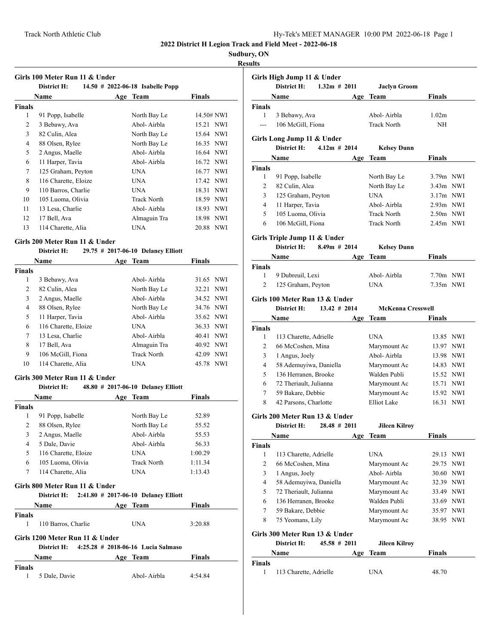# **Sudbury, ON**

# **Results**

|                | <b>Name</b>                                   | Age Team                             | <b>Finals</b> |
|----------------|-----------------------------------------------|--------------------------------------|---------------|
| <b>Finals</b>  |                                               |                                      |               |
| 1              | 91 Popp, Isabelle                             | North Bay Le                         | 14.50# NWI    |
| 2              | 3 Bebawy, Ava                                 | Abol-Airbla                          | 15.21 NWI     |
| 3              | 82 Culin, Alea                                | North Bay Le                         | 15.64 NWI     |
| $\overline{4}$ | 88 Olsen, Rylee                               | North Bay Le                         | 16.35 NWI     |
| 5              | 2 Angus, Maelle                               | Abol-Airbla                          | 16.64 NWI     |
| 6              | 11 Harper, Tavia                              | Abol-Airbla                          | 16.72 NWI     |
| 7              | 125 Graham, Peyton                            | <b>UNA</b>                           | 16.77 NWI     |
| 8              | 116 Charette, Eloize                          | <b>UNA</b>                           | 17.42 NWI     |
| 9              | 110 Barros, Charlie                           | <b>UNA</b>                           | 18.31 NWI     |
| 10             | 105 Luoma, Olivia                             | <b>Track North</b>                   | 18.59 NWI     |
| 11             | 13 Lesa, Charlie                              | Abol-Airbla                          | 18.93 NWI     |
| 12             | 17 Bell, Ava                                  | Almaguin Tra                         | 18.98 NWI     |
| 13             | 114 Charette, Alia                            | <b>UNA</b>                           | 20.88 NWI     |
|                | Girls 200 Meter Run 11 & Under                |                                      |               |
|                | District H:                                   | 29.75 # 2017-06-10 Delaney Elliott   |               |
|                | Name                                          | Age Team                             | <b>Finals</b> |
| <b>Finals</b>  |                                               |                                      |               |
| 1              | 3 Bebawy, Ava                                 | Abol-Airbla                          | 31.65 NWI     |
| 2              | 82 Culin, Alea                                | North Bay Le                         | 32.21<br>NWI  |
| 3              | 2 Angus, Maelle                               | Abol-Airbla                          | 34.52 NWI     |
| $\overline{4}$ | 88 Olsen, Rylee                               | North Bay Le                         | 34.76 NWI     |
| 5              | 11 Harper, Tavia                              | Abol-Airbla                          | 35.62 NWI     |
| 6              | 116 Charette, Eloize                          | <b>UNA</b>                           | 36.33 NWI     |
| 7              | 13 Lesa, Charlie                              | Abol-Airbla                          | 40.41 NWI     |
| 8              | 17 Bell, Ava                                  | Almaguin Tra                         | 40.92 NWI     |
| 9              | 106 McGill, Fiona                             | <b>Track North</b>                   | 42.09 NWI     |
|                | 114 Charette, Alia                            | <b>UNA</b>                           | 45.78 NWI     |
| 10             |                                               |                                      |               |
|                | Girls 300 Meter Run 11 & Under                |                                      |               |
|                | District H:                                   | 48.80 # 2017-06-10 Delaney Elliott   |               |
|                | Name                                          | Age Team                             | Finals        |
| <b>Finals</b>  |                                               |                                      |               |
| 1              | 91 Popp, Isabelle                             | North Bay Le                         | 52.89         |
| 2              | 88 Olsen, Rylee                               | North Bay Le                         | 55.52         |
| 3              | 2 Angus, Maelle                               | Abol-Airbla                          | 55.53         |
| 4              | 5 Dale, Davie                                 | Abol-Airbla                          | 56.33         |
| 5              | 116 Charette, Eloize                          | <b>UNA</b>                           | 1:00.29       |
| 6              | 105 Luoma, Olivia                             | <b>Track North</b>                   | 1:11.34       |
| 7              | 114 Charette, Alia                            | UNA                                  | 1:13.43       |
|                | Girls 800 Meter Run 11 & Under<br>District H: | 2:41.80 # 2017-06-10 Delaney Elliott |               |
|                | Name                                          | Age Team                             | <b>Finals</b> |
| <b>Finals</b>  |                                               |                                      |               |
| 1              | 110 Barros, Charlie                           | <b>UNA</b>                           | 3:20.88       |
|                | Girls 1200 Meter Run 11 & Under               |                                      |               |
|                | District H:                                   | 4:25.28 # 2018-06-16 Lucia Salmaso   |               |
| Finals         | Name                                          | Age Team                             | Finals        |

|                    | Girls High Jump 11 & Under<br>District H:     | $1.32m$ # 2011  | <b>Jaclyn Groom</b>      |               |     |
|--------------------|-----------------------------------------------|-----------------|--------------------------|---------------|-----|
|                    | Name                                          | Age             | Team                     | <b>Finals</b> |     |
| <b>Finals</b>      |                                               |                 |                          |               |     |
| 1                  | 3 Bebawy, Ava                                 |                 | Abol-Airbla              | 1.02m         |     |
| ---                | 106 McGill, Fiona                             |                 | <b>Track North</b>       | NH            |     |
|                    | Girls Long Jump 11 & Under                    |                 |                          |               |     |
|                    | District H:                                   | $4.12m$ # 2014  | <b>Kelsey Dunn</b>       |               |     |
|                    | Name                                          | Age             | Team                     | Finals        |     |
| Finals             |                                               |                 |                          |               |     |
| 1                  | 91 Popp, Isabelle                             |                 | North Bay Le             | 3.79m NWI     |     |
| 2                  | 82 Culin, Alea                                |                 | North Bay Le             | 3.43m NWI     |     |
| 3                  | 125 Graham, Peyton                            |                 | <b>UNA</b>               | $3.17m$ NWI   |     |
| 4                  | 11 Harper, Tavia                              |                 | Abol-Airbla              | 2.93m NWI     |     |
| 5                  | 105 Luoma, Olivia                             |                 | <b>Track North</b>       | $2.50m$ NWI   |     |
| 6                  | 106 McGill, Fiona                             |                 | <b>Track North</b>       | 2.45m NWI     |     |
|                    | Girls Triple Jump 11 & Under                  |                 |                          |               |     |
|                    | District H:                                   | $8.49m$ # 2014  | <b>Kelsey Dunn</b>       |               |     |
|                    | Name                                          |                 | Age Team                 | Finals        |     |
| Finals             |                                               |                 |                          |               |     |
| 1                  | 9 Dubreuil, Lexi                              |                 | Abol-Airbla              | 7.70m NWI     |     |
| 2                  | 125 Graham, Peyton                            |                 | <b>UNA</b>               | 7.35m NWI     |     |
|                    | Girls 100 Meter Run 13 & Under                |                 |                          |               |     |
|                    | District H:                                   | $13.42 \# 2014$ | <b>McKenna Cresswell</b> |               |     |
|                    | Name                                          | Age             | Team                     | Finals        |     |
| <b>Finals</b><br>1 | 113 Charette, Adrielle                        |                 | <b>UNA</b>               | 13.85 NWI     |     |
| 2                  | 66 McCoshen, Mina                             |                 | Marymount Ac             | 13.97 NWI     |     |
| 3                  | 1 Angus, Joely                                |                 | Abol-Airbla              | 13.98 NWI     |     |
| 4                  | 58 Ademuyiwa, Daniella                        |                 | Marymount Ac             | 14.83 NWI     |     |
| 5                  | 136 Herranen, Brooke                          |                 | Walden Publi             | 15.52 NWI     |     |
| 6                  | 72 Theriault, Julianna                        |                 | Marymount Ac             | 15.71 NWI     |     |
| 7                  | 59 Bakare, Debbie                             |                 | Marymount Ac             | 15.92 NWI     |     |
| 8                  | 42 Parsons, Charlotte                         |                 | <b>Elliot</b> Lake       | 16.31         | NWI |
|                    |                                               |                 |                          |               |     |
|                    | Girls 200 Meter Run 13 & Under<br>District H: | $28.48 \# 2011$ | <b>Jileen Kilroy</b>     |               |     |
|                    | Name                                          | Age             | <b>Team</b>              | <b>Finals</b> |     |
| Finals             |                                               |                 |                          |               |     |
| 1                  | 113 Charette, Adrielle                        |                 | UNA                      | 29.13 NWI     |     |
| 2                  | 66 McCoshen, Mina                             |                 | Marymount Ac             | 29.75         | NWI |
| 3                  | 1 Angus, Joely                                |                 | Abol-Airbla              | 30.60         | NWI |
| 4                  | 58 Ademuyiwa, Daniella                        |                 | Marymount Ac             | 32.39 NWI     |     |
| 5                  | 72 Theriault, Julianna                        |                 | Marymount Ac             | 33.49 NWI     |     |
| 6                  | 136 Herranen, Brooke                          |                 | Walden Publi             | 33.69 NWI     |     |
| 7                  | 59 Bakare, Debbie                             |                 | Marymount Ac             | 35.97         | NWI |
| 8                  | 75 Yeomans, Lily                              |                 | Marymount Ac             | 38.95         | NWI |
|                    | Girls 300 Meter Run 13 & Under                |                 |                          |               |     |
|                    | District H:                                   | 45.58 # 2011    | <b>Jileen Kilroy</b>     |               |     |
|                    | Name                                          | Age             | Team                     | Finals        |     |
| Finals             |                                               |                 |                          |               |     |
|                    | 113 Charette, Adrielle                        |                 | UNA                      | 48.70         |     |
| 1                  |                                               |                 |                          |               |     |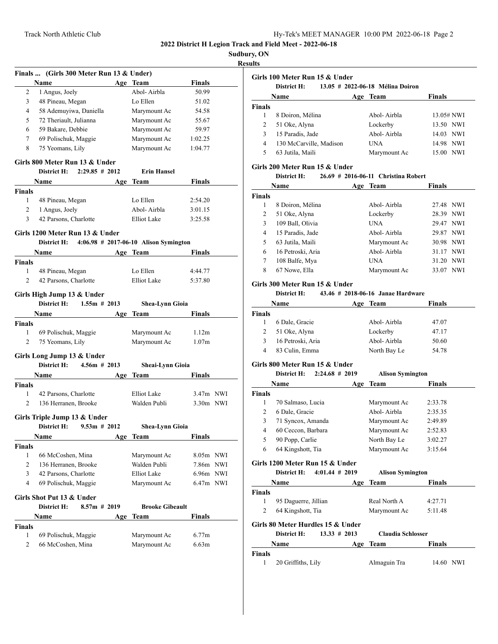ŀ,

**Sudbury, ON**

**Results**

|                | Finals  (Girls 300 Meter Run 13 & Under)     |     |                                       |                   |  |
|----------------|----------------------------------------------|-----|---------------------------------------|-------------------|--|
|                | Name                                         |     | Age Team                              | <b>Finals</b>     |  |
| 2              | 1 Angus, Joely                               |     | Abol-Airbla                           | 50.99             |  |
| 3              | 48 Pineau, Megan                             |     | Lo Ellen                              | 51.02             |  |
| 4              | 58 Ademuyiwa, Daniella                       |     | Marymount Ac                          | 54.58             |  |
| 5              | 72 Theriault, Julianna                       |     | Marymount Ac                          | 55.67             |  |
| 6              | 59 Bakare, Debbie                            |     | Marymount Ac                          | 59.97             |  |
| 7              | 69 Polischuk, Maggie                         |     | Marymount Ac                          | 1:02.25           |  |
| 8              | 75 Yeomans, Lily                             |     | Marymount Ac                          | 1:04.77           |  |
|                | Girls 800 Meter Run 13 & Under               |     |                                       |                   |  |
|                | District H:<br>$2:29.85 \# 2012$             |     | <b>Erin Hansel</b>                    |                   |  |
|                | Name                                         |     | Age Team                              | <b>Finals</b>     |  |
| <b>Finals</b>  |                                              |     |                                       |                   |  |
| 1              | 48 Pineau, Megan                             |     | Lo Ellen                              | 2:54.20           |  |
| 2              | 1 Angus, Joely                               |     | Abol-Airbla                           | 3:01.15           |  |
| 3              | 42 Parsons, Charlotte                        |     | Elliot Lake                           | 3:25.58           |  |
|                |                                              |     |                                       |                   |  |
|                | Girls 1200 Meter Run 13 & Under              |     |                                       |                   |  |
|                | <b>District H:</b>                           |     | 4:06.98 # 2017-06-10 Alison Symington |                   |  |
|                | Name                                         |     | Age Team                              | Finals            |  |
| <b>Finals</b>  |                                              |     |                                       |                   |  |
| 1              | 48 Pineau, Megan                             |     | Lo Ellen                              | 4:44.77           |  |
| 2              | 42 Parsons, Charlotte                        |     | Elliot Lake                           | 5:37.80           |  |
|                | Girls High Jump 13 & Under                   |     |                                       |                   |  |
|                | $1.55m \# 2013$<br>District H:               |     | Shea-Lynn Gioia                       |                   |  |
|                | Name                                         | Age | Team                                  | <b>Finals</b>     |  |
| Finals         |                                              |     |                                       |                   |  |
| 1              |                                              |     | Marymount Ac                          | 1.12m             |  |
|                | 69 Polischuk, Maggie                         |     |                                       |                   |  |
| $\overline{2}$ | 75 Yeomans, Lily                             |     | Marymount Ac                          | 1.07 <sub>m</sub> |  |
|                |                                              |     |                                       |                   |  |
|                | Girls Long Jump 13 & Under                   |     |                                       |                   |  |
|                | District H:<br>$4.56m$ # 2013                |     | Sheai-Lynn Gioia                      |                   |  |
|                | Name                                         |     | Age Team                              | Finals            |  |
| Finals         |                                              |     |                                       |                   |  |
| 1              | 42 Parsons, Charlotte                        |     | Elliot Lake                           | $3.47m$ NWI       |  |
| 2              | 136 Herranen, Brooke                         |     | Walden Publi                          | $3.30m$ NWI       |  |
|                | Girls Triple Jump 13 & Under                 |     |                                       |                   |  |
|                | District H: $9.53m \# 2012$                  |     | <b>Shea-Lynn Gioia</b>                |                   |  |
|                | <b>Name</b>                                  | Age | <b>Team</b>                           | <b>Finals</b>     |  |
| Finals         |                                              |     |                                       |                   |  |
| 1              | 66 McCoshen, Mina                            |     | Marymount Ac                          | 8.05m NWI         |  |
| 2              | 136 Herranen, Brooke                         |     | Walden Publi                          | 7.86m NWI         |  |
| 3              | 42 Parsons, Charlotte                        |     | Elliot Lake                           | 6.96m NWI         |  |
| 4              | 69 Polischuk, Maggie                         |     | Marymount Ac                          | $6.47m$ NWI       |  |
|                |                                              |     |                                       |                   |  |
|                | Girls Shot Put 13 & Under<br>$8.57m \# 2019$ |     |                                       |                   |  |
|                | District H:                                  |     | <b>Brooke Gibeault</b>                |                   |  |
|                | Name                                         | Age | Team                                  | <b>Finals</b>     |  |
| Finals         |                                              |     |                                       |                   |  |
| 1<br>2         | 69 Polischuk, Maggie<br>66 McCoshen, Mina    |     | Marymount Ac<br>Marymount Ac          | 6.77m<br>6.63m    |  |

| Girls 100 Meter Run 15 & Under<br>13.05 # 2022-06-18 Mélina Doiron<br>District H: |                         |              |                     |  |
|-----------------------------------------------------------------------------------|-------------------------|--------------|---------------------|--|
|                                                                                   | Name                    | Age Team     | Finals              |  |
| <b>Finals</b>                                                                     |                         |              |                     |  |
|                                                                                   | 8 Doiron, Mélina        | Abol-Airbla  | 13.05# NWI          |  |
| 2                                                                                 | 51 Oke, Alyna           | Lockerby     | 13.50 NWI           |  |
| 3                                                                                 | 15 Paradis, Jade        | Abol-Airbla  | 14.03 NWI           |  |
| 4                                                                                 | 130 McCarville, Madison | UNA          | 14.98 NWI           |  |
| 5                                                                                 | 63 Jutila, Maili        | Marymount Ac | <b>NWI</b><br>15.00 |  |

# **Girls 200 Meter Run 15 & Under**

#### **District H: 26.69 # 2016-06-11 Christina Robert**

| Name   |                   | Age Team     | <b>Finals</b> |            |
|--------|-------------------|--------------|---------------|------------|
| Finals |                   |              |               |            |
|        | 8 Doiron, Mélina  | Abol-Airbla  | 27.48 NWI     |            |
| 2      | 51 Oke, Alyna     | Lockerby     | 28.39 NWI     |            |
| 3      | 109 Ball, Olivia  | <b>UNA</b>   | 29.47 NWI     |            |
| 4      | 15 Paradis, Jade  | Abol-Airbla  | 29.87 NWI     |            |
| 5      | 63 Jutila, Maili  | Marymount Ac | 30.98 NWI     |            |
| 6      | 16 Petroski, Aria | Abol-Airbla  | 31.17 NWI     |            |
| 7      | 108 Balfe, Mya    | UNA          | 31.20         | NWI        |
| 8      | 67 Nowe, Ella     | Marymount Ac | 33.07         | <b>NWI</b> |

#### **Girls 300 Meter Run 15 & Under**

#### **District H: 43.46 # 2018-06-16 Janae Hardware**

|               | <b>Name</b>       | Age | Team         | <b>Finals</b> |  |
|---------------|-------------------|-----|--------------|---------------|--|
| <b>Finals</b> |                   |     |              |               |  |
|               | 6 Dale, Gracie    |     | Abol-Airbla  | 47.07         |  |
| 2             | 51 Oke, Alyna     |     | Lockerby     | 47.17         |  |
| 3             | 16 Petroski, Aria |     | Abol-Airbla  | 50.60         |  |
| 4             | 83 Culin, Emma    |     | North Bay Le | 54.78         |  |

#### **Girls 800 Meter Run 15 & Under**

|               | District H:                     | $2:24.68 \# 2019$ | <b>Alison Symington</b> |               |
|---------------|---------------------------------|-------------------|-------------------------|---------------|
|               | <b>Name</b>                     | Age               | Team                    | <b>Finals</b> |
| <b>Finals</b> |                                 |                   |                         |               |
| 1             | 70 Salmaso, Lucia               |                   | Marymount Ac            | 2:33.78       |
| 2             | 6 Dale, Gracie                  |                   | Abol-Airbla             | 2:35.35       |
| 3             | 71 Syncox, Amanda               |                   | Marymount Ac            | 2:49.89       |
| 4             | 60 Ceccon, Barbara              |                   | Marymount Ac            | 2:52.83       |
| 5             | 90 Popp, Carlie                 |                   | North Bay Le            | 3:02.27       |
| 6             | 64 Kingshott, Tia               |                   | Marymount Ac            | 3:15.64       |
|               | Girls 1200 Meter Run 15 & Under |                   |                         |               |

**District H: 4:01.44 # 2019 Alison Symington**

|               | Name                 |                                                      | Age Team                 | <b>Finals</b> |            |
|---------------|----------------------|------------------------------------------------------|--------------------------|---------------|------------|
| <b>Finals</b> |                      |                                                      |                          |               |            |
| 1             | 95 Daguerre, Jillian |                                                      | Real North A             | 4:27.71       |            |
| 2             | 64 Kingshott, Tia    |                                                      | Marymount Ac             | 5:11.48       |            |
|               | District H:          | Girls 80 Meter Hurdles 15 & Under<br>$13.33 \# 2013$ | <b>Claudia Schlosser</b> |               |            |
|               | Name                 |                                                      | Age Team                 | <b>Finals</b> |            |
| <b>Finals</b> |                      |                                                      |                          |               |            |
|               | 20 Griffiths, Lily   |                                                      | Almaguin Tra             | 14.60         | <b>NWI</b> |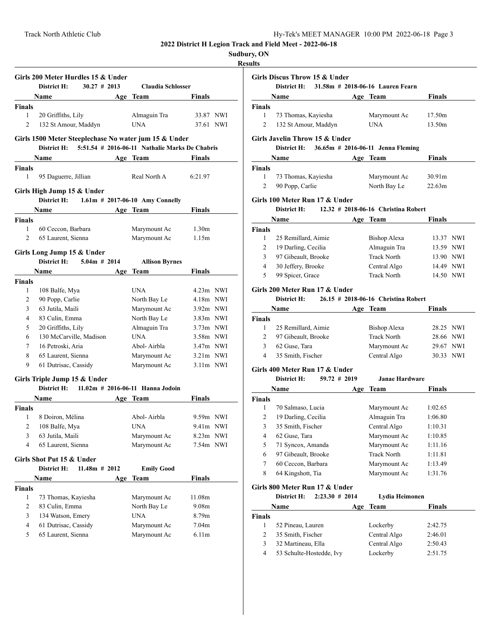**Results**

|                            | Girls 200 Meter Hurdles 15 & Under<br>$30.27$ # 2013                 |     |                                                |                   |  |  |  |
|----------------------------|----------------------------------------------------------------------|-----|------------------------------------------------|-------------------|--|--|--|
|                            | District H:                                                          |     | <b>Claudia Schlosser</b>                       |                   |  |  |  |
|                            | Name                                                                 |     | Age Team                                       | <b>Finals</b>     |  |  |  |
| <b>Finals</b>              |                                                                      |     |                                                |                   |  |  |  |
| $\mathbf{1}$               | 20 Griffiths, Lily                                                   |     | Almaguin Tra                                   | 33.87 NWI         |  |  |  |
| 2                          | 132 St Amour, Maddyn                                                 |     | <b>UNA</b>                                     | 37.61 NWI         |  |  |  |
|                            | Girls 1500 Meter Steeplechase No water jum 15 & Under<br>District H: |     | 5:51.54 # 2016-06-11 Nathalie Marks De Chabris |                   |  |  |  |
|                            | Name                                                                 |     | Age Team                                       | <b>Finals</b>     |  |  |  |
|                            |                                                                      |     |                                                |                   |  |  |  |
| <b>Finals</b><br>1         |                                                                      |     | Real North A                                   | 6:21.97           |  |  |  |
|                            | 95 Daguerre, Jillian                                                 |     |                                                |                   |  |  |  |
| Girls High Jump 15 & Under |                                                                      |     |                                                |                   |  |  |  |
|                            | District H:                                                          |     | $1.61m$ # 2017-06-10 Amy Connelly              |                   |  |  |  |
|                            | <b>Name</b>                                                          |     | Age Team                                       | Finals            |  |  |  |
| <b>Finals</b>              |                                                                      |     |                                                |                   |  |  |  |
| 1                          | 60 Ceccon, Barbara                                                   |     | Marymount Ac                                   | 1.30 <sub>m</sub> |  |  |  |
| $\overline{c}$             | 65 Laurent, Sienna                                                   |     | Marymount Ac                                   | 1.15m             |  |  |  |
|                            |                                                                      |     |                                                |                   |  |  |  |
|                            | Girls Long Jump 15 & Under                                           |     |                                                |                   |  |  |  |
|                            | District H:<br>$5.04m$ # 2014                                        |     | <b>Allison Byrnes</b>                          |                   |  |  |  |
|                            | Name                                                                 | Age | Team                                           | <b>Finals</b>     |  |  |  |
| <b>Finals</b>              |                                                                      |     |                                                |                   |  |  |  |
| 1                          | 108 Balfe, Mya                                                       |     | <b>UNA</b>                                     | $4.23m$ NWI       |  |  |  |
| 2                          | 90 Popp, Carlie                                                      |     | North Bay Le                                   | $4.18m$ NWI       |  |  |  |
| 3                          | 63 Jutila, Maili                                                     |     | Marymount Ac                                   | $3.92m$ NWI       |  |  |  |
| 4                          | 83 Culin, Emma                                                       |     | North Bay Le                                   | $3.83m$ NWI       |  |  |  |
| 5                          | 20 Griffiths, Lily                                                   |     | Almaguin Tra                                   | $3.73m$ NWI       |  |  |  |
| 6                          | 130 McCarville, Madison                                              |     | <b>UNA</b>                                     | $3.58m$ NWI       |  |  |  |
| 7                          | 16 Petroski, Aria                                                    |     | Abol-Airbla                                    | $3.47m$ NWI       |  |  |  |
| 8                          | 65 Laurent, Sienna                                                   |     | Marymount Ac                                   | $3.21m$ NWI       |  |  |  |
| 9                          | 61 Dutrisac, Cassidy                                                 |     | Marymount Ac                                   | $3.11m$ NWI       |  |  |  |
|                            | Girls Triple Jump 15 & Under                                         |     |                                                |                   |  |  |  |
|                            | District H: 11.02m # 2016-06-11 Hanna Jodoin                         |     |                                                |                   |  |  |  |
|                            | Name                                                                 |     | Age Team                                       | <b>Finals</b>     |  |  |  |
| <b>Finals</b>              |                                                                      |     |                                                |                   |  |  |  |
| 1                          | 8 Doiron, Mélina                                                     |     | Abol-Airbla                                    | 9.59m NWI         |  |  |  |
| 2                          | 108 Balfe, Mya                                                       |     | <b>UNA</b>                                     | $9.41m$ NWI       |  |  |  |
|                            | 63 Jutila, Maili                                                     |     |                                                |                   |  |  |  |
| 3                          |                                                                      |     | Marymount Ac                                   | 8.23m NWI         |  |  |  |
| 4                          | 65 Laurent, Sienna                                                   |     | Marymount Ac                                   | 7.54m NWI         |  |  |  |
|                            | Girls Shot Put 15 & Under                                            |     |                                                |                   |  |  |  |
|                            | District H:<br>$11.48m$ # 2012                                       |     | <b>Emily Good</b>                              |                   |  |  |  |
|                            | Name                                                                 | Age | Team                                           | <b>Finals</b>     |  |  |  |
| <b>Finals</b>              |                                                                      |     |                                                |                   |  |  |  |
| 1                          | 73 Thomas, Kayiesha                                                  |     | Marymount Ac                                   | 11.08m            |  |  |  |
| 2                          | 83 Culin, Emma                                                       |     | North Bay Le                                   | 9.08 <sub>m</sub> |  |  |  |
| 3                          | 134 Watson, Emery                                                    |     | <b>UNA</b>                                     | 8.79m             |  |  |  |
| 4                          | 61 Dutrisac, Cassidy                                                 |     | Marymount Ac                                   | 7.04m             |  |  |  |
| 5                          | 65 Laurent, Sienna                                                   |     | Marymount Ac                                   | 6.11 <sub>m</sub> |  |  |  |
|                            |                                                                      |     |                                                |                   |  |  |  |

| uns           |                                                                               |     |                                     |                    |  |
|---------------|-------------------------------------------------------------------------------|-----|-------------------------------------|--------------------|--|
|               | Girls Discus Throw 15 & Under<br>District H: 31.58m # 2018-06-16 Lauren Fearn |     |                                     |                    |  |
|               | Name                                                                          |     | Age Team                            | <b>Finals</b>      |  |
| <b>Finals</b> |                                                                               |     |                                     |                    |  |
| 1             | 73 Thomas, Kayiesha                                                           |     | Marymount Ac                        | 17.50m             |  |
| 2             | 132 St Amour, Maddyn                                                          |     | <b>UNA</b>                          | 13.50m             |  |
|               |                                                                               |     |                                     |                    |  |
|               | Girls Javelin Throw 15 & Under                                                |     |                                     |                    |  |
|               | District H:                                                                   |     | 36.65m # 2016-06-11 Jenna Fleming   |                    |  |
|               | Name                                                                          |     | Age Team                            | <b>Finals</b>      |  |
| Finals        |                                                                               |     |                                     |                    |  |
| 1             | 73 Thomas, Kayiesha                                                           |     | Marymount Ac                        | 30.91 <sub>m</sub> |  |
| 2             | 90 Popp, Carlie                                                               |     | North Bay Le                        | 22.63m             |  |
|               | Girls 100 Meter Run 17 & Under                                                |     |                                     |                    |  |
|               | District H:                                                                   |     | 12.32 # 2018-06-16 Christina Robert |                    |  |
|               | Name                                                                          |     | Age Team                            | Finals             |  |
| Finals        |                                                                               |     |                                     |                    |  |
| 1             | 25 Remillard, Aimie                                                           |     | Bishop Alexa                        | 13.37 NWI          |  |
| 2             | 19 Darling, Cecilia                                                           |     | Almaguin Tra                        | 13.59 NWI          |  |
| 3             | 97 Gibeault, Brooke                                                           |     | <b>Track North</b>                  | 13.90 NWI          |  |
| 4             | 30 Jeffery, Brooke                                                            |     | Central Algo                        | 14.49 NWI          |  |
| 5             | 99 Spicer, Grace                                                              |     | <b>Track North</b>                  | 14.50 NWI          |  |
|               |                                                                               |     |                                     |                    |  |
|               | Girls 200 Meter Run 17 & Under<br>District H:                                 |     | 26.15 # 2018-06-16 Christina Robert |                    |  |
|               |                                                                               |     |                                     |                    |  |
|               | Name                                                                          |     | Age Team                            | Finals             |  |
| Finals        |                                                                               |     |                                     |                    |  |
| 1<br>2        | 25 Remillard, Aimie                                                           |     | Bishop Alexa<br><b>Track North</b>  | 28.25 NWI          |  |
|               | 97 Gibeault, Brooke                                                           |     |                                     | 28.66 NWI          |  |
| 3             | 62 Guse, Tara                                                                 |     | Marymount Ac                        | 29.67 NWI          |  |
| 4             | 35 Smith, Fischer                                                             |     | Central Algo                        | 30.33 NWI          |  |
|               | Girls 400 Meter Run 17 & Under                                                |     |                                     |                    |  |
|               | District H:<br>$59.72 \pm 2019$                                               |     | <b>Janae Hardware</b>               |                    |  |
|               | Name                                                                          |     | Age Team                            | <b>Finals</b>      |  |
| Finals        |                                                                               |     |                                     |                    |  |
| 1             | 70 Salmaso, Lucia                                                             |     | Marymount Ac                        | 1:02.65            |  |
| 2             | 19 Darling, Cecilia                                                           |     | Almaguin Tra                        | 1:06.80            |  |
| 3             | 35 Smith, Fischer                                                             |     | Central Algo                        | 1:10.31            |  |
| 4             | 62 Guse, Tara                                                                 |     | Marymount Ac                        | 1:10.85            |  |
| 5             | 71 Syncox, Amanda                                                             |     | Marymount Ac                        | 1:11.16            |  |
| 6             | 97 Gibeault, Brooke                                                           |     | <b>Track North</b>                  | 1:11.81            |  |
| 7             | 60 Ceccon, Barbara                                                            |     | Marymount Ac                        | 1:13.49            |  |
| 8             | 64 Kingshott, Tia                                                             |     | Marymount Ac                        | 1:31.76            |  |
|               |                                                                               |     |                                     |                    |  |
|               | Girls 800 Meter Run 17 & Under                                                |     |                                     |                    |  |
|               | District H:<br>$2:23.30 \# 2014$                                              |     | Lydia Heimonen                      |                    |  |
|               | Name                                                                          | Age | Team                                | Finals             |  |
| Finals        |                                                                               |     |                                     |                    |  |
| 1             | 52 Pineau, Lauren                                                             |     | Lockerby                            | 2:42.75            |  |
| 2             | 35 Smith, Fischer                                                             |     | Central Algo                        | 2:46.01            |  |
| 3             | 32 Martineau, Ella                                                            |     | Central Algo                        | 2:50.43            |  |
| 4             | 53 Schulte-Hostedde, Ivy                                                      |     | Lockerby                            | 2:51.75            |  |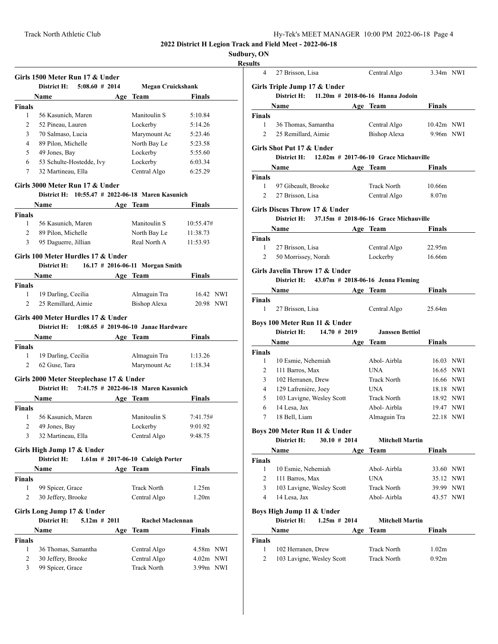# **Sudbury, ON**

### **Results**

|                | Girls 1500 Meter Run 17 & Under                                                          |     |                                   |                   |  |
|----------------|------------------------------------------------------------------------------------------|-----|-----------------------------------|-------------------|--|
|                | District H:<br>5:08.60#2014                                                              |     | <b>Megan Cruickshank</b>          |                   |  |
|                | Name                                                                                     |     | Age Team                          | Finals            |  |
| <b>Finals</b>  |                                                                                          |     |                                   |                   |  |
| 1              | 56 Kasunich, Maren                                                                       |     | Manitoulin S                      | 5:10.84           |  |
| 2              | 52 Pineau, Lauren                                                                        |     | Lockerby                          | 5:14.26           |  |
| 3              | 70 Salmaso, Lucia                                                                        |     | Marymount Ac                      | 5:23.46           |  |
| 4              | 89 Pilon, Michelle                                                                       |     | North Bay Le                      | 5:23.58           |  |
| 5              | 49 Jones, Bay                                                                            |     | Lockerby                          | 5:55.60           |  |
| 6              | 53 Schulte-Hostedde, Ivy                                                                 |     | Lockerby                          | 6:03.34           |  |
| $\tau$         | 32 Martineau, Ella                                                                       |     | Central Algo                      | 6:25.29           |  |
|                | Girls 3000 Meter Run 17 & Under<br>District H: 10:55.47 # 2022-06-18 Maren Kasunich      |     |                                   |                   |  |
|                | Name                                                                                     |     | Age Team                          | Finals            |  |
| <b>Finals</b>  |                                                                                          |     |                                   |                   |  |
| 1              | 56 Kasunich, Maren                                                                       |     | Manitoulin S                      | 10:55.47#         |  |
|                |                                                                                          |     |                                   |                   |  |
| 2              | 89 Pilon, Michelle                                                                       |     | North Bay Le                      | 11:38.73          |  |
| 3              | 95 Daguerre, Jillian                                                                     |     | Real North A                      | 11:53.93          |  |
|                | Girls 100 Meter Hurdles 17 & Under<br>District H:                                        |     | 16.17 # 2016-06-11 Morgan Smith   |                   |  |
|                | <b>Name</b>                                                                              |     | Age Team                          | <b>Finals</b>     |  |
| <b>Finals</b>  |                                                                                          |     |                                   |                   |  |
| 1              | 19 Darling, Cecilia                                                                      |     | Almaguin Tra                      | 16.42 NWI         |  |
| $\overline{2}$ | 25 Remillard, Aimie                                                                      |     | <b>Bishop Alexa</b>               | 20.98 NWI         |  |
|                |                                                                                          |     |                                   |                   |  |
|                | Girls 400 Meter Hurdles 17 & Under<br>District H: $1:08.65 \# 2019-06-10$ Janae Hardware |     |                                   |                   |  |
|                | <b>Name</b>                                                                              |     | Age Team                          | Finals            |  |
| <b>Finals</b>  |                                                                                          |     |                                   |                   |  |
| 1              | 19 Darling, Cecilia                                                                      |     | Almaguin Tra                      | 1:13.26           |  |
| 2              | 62 Guse, Tara                                                                            |     | Marymount Ac                      | 1:18.34           |  |
|                |                                                                                          |     |                                   |                   |  |
|                | Girls 2000 Meter Steeplechase 17 & Under                                                 |     |                                   |                   |  |
|                | District H: 7:41.75 # 2022-06-18 Maren Kasunich                                          |     |                                   |                   |  |
|                | Name                                                                                     |     | Age Team                          | <b>Finals</b>     |  |
| <b>Finals</b>  |                                                                                          |     |                                   |                   |  |
| 1              | 56 Kasunich, Maren                                                                       |     | Manitoulin S                      | 7:41.75#          |  |
| $\overline{c}$ | 49 Jones, Bay                                                                            |     | Lockerby                          | 9:01.92           |  |
| 3              | 32 Martineau, Ella                                                                       |     | Central Algo                      | 9:48.75           |  |
|                | Girls High Jump 17 & Under                                                               |     |                                   |                   |  |
|                | District H:                                                                              |     | 1.61m # 2017-06-10 Caleigh Porter |                   |  |
|                | Name                                                                                     |     | Age Team                          | Finals            |  |
| Finals         |                                                                                          |     |                                   |                   |  |
| 1              | 99 Spicer, Grace                                                                         |     | <b>Track North</b>                | 1.25m             |  |
| $\overline{2}$ | 30 Jeffery, Brooke                                                                       |     | Central Algo                      | 1.20 <sub>m</sub> |  |
|                | Girls Long Jump 17 & Under                                                               |     |                                   |                   |  |
|                | $5.12m$ # 2011<br>District H:                                                            |     | Rachel Maclennan                  |                   |  |
|                | Name                                                                                     | Age | Team                              | Finals            |  |
| <b>Finals</b>  |                                                                                          |     |                                   |                   |  |
| 1              | 36 Thomas, Samantha                                                                      |     | Central Algo                      | 4.58m NWI         |  |
| 2              | 30 Jeffery, Brooke                                                                       |     | Central Algo                      | 4.02m NWI         |  |
| 3              | 99 Spicer, Grace                                                                         |     | <b>Track North</b>                | 3.99m NWI         |  |

| 4                                                                            | 27 Brisson, Lisa                                                | Central Algo           | 3.34m NWI         |  |  |  |  |
|------------------------------------------------------------------------------|-----------------------------------------------------------------|------------------------|-------------------|--|--|--|--|
|                                                                              |                                                                 |                        |                   |  |  |  |  |
| Girls Triple Jump 17 & Under<br>District H: 11.20m # 2018-06-16 Hanna Jodoin |                                                                 |                        |                   |  |  |  |  |
|                                                                              | Name                                                            | Age Team               | <b>Finals</b>     |  |  |  |  |
|                                                                              |                                                                 |                        |                   |  |  |  |  |
| Finals<br>1                                                                  | 36 Thomas, Samantha                                             | Central Algo           | 10.42m NWI        |  |  |  |  |
| $\overline{2}$                                                               | 25 Remillard, Aimie                                             | Bishop Alexa           | 9.96m NWI         |  |  |  |  |
|                                                                              |                                                                 |                        |                   |  |  |  |  |
|                                                                              | Girls Shot Put 17 & Under                                       |                        |                   |  |  |  |  |
|                                                                              | District H: $12.02m \# 2017-06-10$ Grace Michauville            |                        |                   |  |  |  |  |
|                                                                              | Name $\qquad \qquad$                                            | Age Team               | <b>Finals</b>     |  |  |  |  |
| <b>Finals</b>                                                                |                                                                 |                        |                   |  |  |  |  |
| 1                                                                            | 97 Gibeault, Brooke                                             | <b>Track North</b>     | 10.66m            |  |  |  |  |
| $\overline{c}$                                                               | 27 Brisson, Lisa                                                | Central Algo           | 8.07 <sub>m</sub> |  |  |  |  |
|                                                                              | Girls Discus Throw 17 & Under                                   |                        |                   |  |  |  |  |
|                                                                              | District $H: 37.15m \# 2018-06-16$ Grace Michauville            |                        |                   |  |  |  |  |
|                                                                              | Name                                                            | Age Team               | Finals            |  |  |  |  |
| <b>Finals</b>                                                                |                                                                 |                        |                   |  |  |  |  |
| $\mathbf{1}$                                                                 | 27 Brisson, Lisa                                                | Central Algo           | 22.95m            |  |  |  |  |
| 2                                                                            | 50 Morrissey, Norah                                             | Lockerby               | 16.66m            |  |  |  |  |
|                                                                              |                                                                 |                        |                   |  |  |  |  |
|                                                                              | Girls Javelin Throw 17 & Under                                  |                        |                   |  |  |  |  |
|                                                                              | District H: 43.07m # 2018-06-16 Jenna Fleming                   |                        |                   |  |  |  |  |
|                                                                              | <b>Name</b>                                                     | Age Team               | <b>Finals</b>     |  |  |  |  |
| Finals<br>1                                                                  |                                                                 |                        | 25.64m            |  |  |  |  |
|                                                                              | 27 Brisson, Lisa                                                | Central Algo           |                   |  |  |  |  |
| Boys 100 Meter Run 11 & Under                                                |                                                                 |                        |                   |  |  |  |  |
|                                                                              |                                                                 |                        |                   |  |  |  |  |
|                                                                              | District H:<br>$14.70 \# 2019$                                  | <b>Janssen Bettiol</b> |                   |  |  |  |  |
|                                                                              | Name                                                            | Age Team               | Finals            |  |  |  |  |
| <b>Finals</b>                                                                |                                                                 |                        |                   |  |  |  |  |
| 1                                                                            | 10 Esmie, Nehemiah                                              | Abol-Airbla            | 16.03 NWI         |  |  |  |  |
| 2                                                                            | 111 Barros, Max                                                 | UNA                    | 16.65 NWI         |  |  |  |  |
| 3                                                                            | 102 Herranen, Drew                                              | <b>Track North</b>     | 16.66 NWI         |  |  |  |  |
| 4                                                                            | 129 Lafrenière, Joey                                            | <b>UNA</b>             | 18.18 NWI         |  |  |  |  |
| 5                                                                            | 103 Lavigne, Wesley Scott                                       | Track North            | 18.92 NWI         |  |  |  |  |
| 6                                                                            | 14 Lesa, Jax                                                    | Abol-Airbla            | 19.47 NWI         |  |  |  |  |
| 7                                                                            | 18 Bell, Liam                                                   | Almaguin Tra           | 22.18 NWI         |  |  |  |  |
|                                                                              |                                                                 |                        |                   |  |  |  |  |
|                                                                              | Boys 200 Meter Run 11 & Under<br>District H:<br>$30.10 \# 2014$ | <b>Mitchell Martin</b> |                   |  |  |  |  |
|                                                                              | <b>Name</b>                                                     | Age Team               | Finals            |  |  |  |  |
| Finals                                                                       |                                                                 |                        |                   |  |  |  |  |
| 1                                                                            | 10 Esmie, Nehemiah                                              | Abol-Airbla            | 33.60 NWI         |  |  |  |  |
| 2                                                                            | 111 Barros, Max                                                 | <b>UNA</b>             | 35.12 NWI         |  |  |  |  |
| 3                                                                            | 103 Lavigne, Wesley Scott                                       | <b>Track North</b>     | 39.99 NWI         |  |  |  |  |
| 4                                                                            | 14 Lesa, Jax                                                    | Abol-Airbla            | 43.57 NWI         |  |  |  |  |
|                                                                              |                                                                 |                        |                   |  |  |  |  |
|                                                                              | Boys High Jump 11 & Under                                       |                        |                   |  |  |  |  |
|                                                                              | $1.25m \# 2014$<br>District H:                                  | <b>Mitchell Martin</b> |                   |  |  |  |  |
|                                                                              | Name                                                            | Age<br>Team            | Finals            |  |  |  |  |
| Finals                                                                       |                                                                 |                        |                   |  |  |  |  |
| 1                                                                            | 102 Herranen, Drew                                              | Track North            | 1.02 <sub>m</sub> |  |  |  |  |
| 2                                                                            | 103 Lavigne, Wesley Scott                                       | Track North            | 0.92 <sub>m</sub> |  |  |  |  |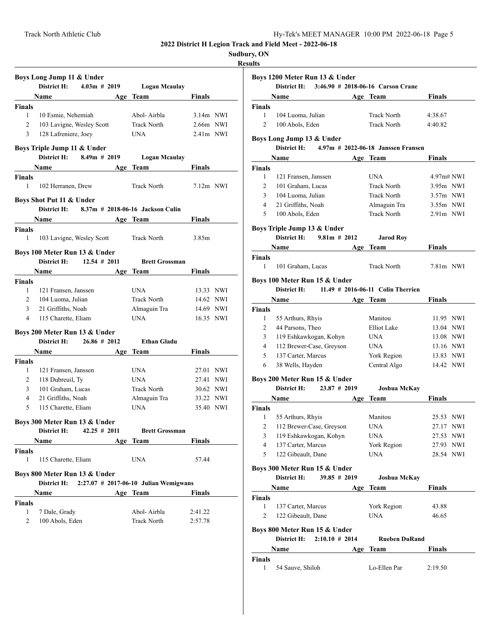| Hy-Tek's MEET MANAGER 10:00 PM 2022-06-18 Page 5 |  |  |  |
|--------------------------------------------------|--|--|--|
|--------------------------------------------------|--|--|--|

### **Results**

|                                        | District H:                                  | $4.03m \# 2019$  |     |                                       |               |  |
|----------------------------------------|----------------------------------------------|------------------|-----|---------------------------------------|---------------|--|
|                                        | Name                                         |                  |     | Logan Mcaulay                         |               |  |
|                                        |                                              |                  |     | Age Team                              | Finals        |  |
| <b>Finals</b><br>1                     | 10 Esmie, Nehemiah                           |                  |     | Abol-Airbla                           | $3.14m$ NWI   |  |
| 2                                      |                                              |                  |     | <b>Track North</b>                    | $2.66m$ NWI   |  |
|                                        | 103 Lavigne, Wesley Scott                    |                  |     |                                       |               |  |
| 3                                      | 128 Lafreniere, Joey                         |                  |     | UNA.                                  | $2.41m$ NWI   |  |
|                                        | Boys Triple Jump 11 & Under<br>District H:   | $8.49m \# 2019$  |     |                                       |               |  |
|                                        | Name $\qquad \qquad$                         |                  |     | <b>Logan Mcaulay</b><br>Age Team      | <b>Finals</b> |  |
| <b>Finals</b>                          |                                              |                  |     |                                       |               |  |
| 1                                      | 102 Herranen, Drew                           |                  |     | <b>Track North</b>                    | $7.12m$ NWI   |  |
|                                        | Boys Shot Put 11 & Under                     |                  |     |                                       |               |  |
|                                        | District H:                                  |                  |     | 8.37m # 2018-06-16 Jackson Culin      |               |  |
|                                        |                                              |                  |     | Age Team                              | Finals        |  |
| <b>Finals</b>                          |                                              |                  |     |                                       |               |  |
| 1                                      | 103 Lavigne, Wesley Scott                    |                  |     | <b>Track North</b>                    | 3.85m         |  |
|                                        | Boys 100 Meter Run 13 & Under                |                  |     |                                       |               |  |
|                                        | District H: $12.54 \# 2011$                  |                  |     | <b>Brett Grossman</b>                 |               |  |
|                                        | Name                                         |                  | Age | Team                                  | Finals        |  |
| <b>Finals</b>                          |                                              |                  |     |                                       |               |  |
| $\mathbf{1}$                           | 121 Fransen, Janssen                         |                  |     | UNA.                                  | 13.33 NWI     |  |
| 2                                      | 104 Luoma, Julian                            |                  |     | <b>Track North</b>                    | 14.62 NWI     |  |
| 3                                      | 21 Griffiths, Noah                           |                  |     | Almaguin Tra                          | 14.69 NWI     |  |
| 4                                      | 115 Charette, Eliam                          |                  |     | <b>UNA</b>                            | 16.35 NWI     |  |
|                                        |                                              |                  |     |                                       |               |  |
|                                        |                                              |                  |     |                                       |               |  |
|                                        | Boys 200 Meter Run 13 & Under<br>District H: | $26.86 \# 2012$  |     | <b>Ethan Gladu</b>                    |               |  |
|                                        | Name                                         |                  | Age | Team                                  | Finals        |  |
|                                        |                                              |                  |     |                                       |               |  |
| 1                                      | 121 Fransen, Janssen                         |                  |     | <b>UNA</b>                            | 27.01 NWI     |  |
| 2                                      | 118 Dubreuil, Ty                             |                  |     | <b>UNA</b>                            | 27.41 NWI     |  |
| 3                                      | 101 Graham, Lucas                            |                  |     | <b>Track North</b>                    | 30.62 NWI     |  |
| 4                                      | 21 Griffiths, Noah                           |                  |     |                                       | 33.22 NWI     |  |
| 5                                      | 115 Charette, Eliam                          |                  |     | Almaguin Tra<br><b>UNA</b>            | 35.40 NWI     |  |
|                                        |                                              |                  |     |                                       |               |  |
|                                        | Boys 300 Meter Run 13 & Under<br>District H: | $42.25 \pm 2011$ |     | <b>Brett Grossman</b>                 |               |  |
|                                        | Name                                         |                  |     | Age Team                              | <b>Finals</b> |  |
|                                        |                                              |                  |     |                                       |               |  |
| 1                                      | 115 Charette, Eliam                          |                  |     | <b>UNA</b>                            | 57.44         |  |
|                                        |                                              |                  |     |                                       |               |  |
|                                        | Boys 800 Meter Run 13 & Under<br>District H: |                  |     | 2:27.07 # 2017-06-10 Julian Wemigwans |               |  |
|                                        | Name                                         |                  |     | Age Team                              | Finals        |  |
|                                        |                                              |                  |     |                                       |               |  |
| <b>Finals</b><br>Finals<br>Finals<br>1 | 7 Dale, Grady                                |                  |     | Abol-Airbla                           | 2:41.22       |  |

|                         | Name $\qquad \qquad$                     |                 |     | Age Team                             | <b>Finals</b>  |  |
|-------------------------|------------------------------------------|-----------------|-----|--------------------------------------|----------------|--|
| <b>Finals</b>           |                                          |                 |     |                                      |                |  |
| 1                       | 104 Luoma, Julian                        |                 |     | <b>Track North</b>                   | 4:38.67        |  |
| 2                       | 100 Abols, Eden                          |                 |     | <b>Track North</b>                   | 4:40.82        |  |
|                         |                                          |                 |     |                                      |                |  |
|                         | Boys Long Jump 13 & Under                |                 |     |                                      |                |  |
|                         | District H:                              |                 |     | $4.97m$ # 2022-06-18 Janssen Fransen |                |  |
|                         | Name                                     |                 |     | Age Team                             | Finals         |  |
| <b>Finals</b><br>1      | 121 Fransen, Janssen                     |                 |     | <b>UNA</b>                           | 4.97m# NWI     |  |
| $\overline{2}$          | 101 Graham, Lucas                        |                 |     | <b>Track North</b>                   | 3.95m NWI      |  |
| 3                       | 104 Luoma, Julian                        |                 |     | <b>Track North</b>                   | $3.57m$ NWI    |  |
| 4                       | 21 Griffiths, Noah                       |                 |     | Almaguin Tra                         | $3.55m$ NWI    |  |
| 5                       | 100 Abols, Eden                          |                 |     | <b>Track North</b>                   | $2.91m$ NWI    |  |
|                         |                                          |                 |     |                                      |                |  |
|                         | Boys Triple Jump 13 & Under              |                 |     |                                      |                |  |
|                         | District H: $9.81m \# 2012$              |                 |     | <b>Jarod Roy</b>                     |                |  |
|                         | Name                                     |                 |     | Age Team                             | Finals         |  |
| <b>Finals</b>           |                                          |                 |     |                                      |                |  |
| 1                       | 101 Graham, Lucas                        |                 |     | <b>Track North</b>                   | $7.81m$ NWI    |  |
|                         | Boys 100 Meter Run 15 & Under            |                 |     |                                      |                |  |
|                         | District H:                              |                 |     | 11.49 $\#$ 2016-06-11 Colin Therrien |                |  |
|                         |                                          |                 |     | Age Team                             | <b>Finals</b>  |  |
| <b>Finals</b>           |                                          |                 |     |                                      |                |  |
| 1                       | 55 Arthurs, Rhyis                        |                 |     | Manitou                              | 11.95 NWI      |  |
| $\overline{c}$          | 44 Parsons, Theo                         |                 |     | Elliot Lake                          | 13.04 NWI      |  |
| 3                       | 119 Eshkawkogan, Kohyn                   |                 |     | UNA                                  | 13.08 NWI      |  |
| 4                       | 112 Brewer-Case, Greyson                 |                 |     | <b>UNA</b>                           | 13.16 NWI      |  |
| 5                       | 137 Carter, Marcus                       |                 |     | York Region                          | 13.83 NWI      |  |
| 6                       | 38 Wells, Hayden                         |                 |     | Central Algo                         | 14.42 NWI      |  |
|                         | Boys 200 Meter Run 15 & Under            |                 |     |                                      |                |  |
|                         | District H:                              | $23.87 \# 2019$ |     | Joshua McKay                         |                |  |
|                         | <b>Name</b>                              |                 |     | Age Team                             | <b>Finals</b>  |  |
| <b>Finals</b>           |                                          |                 |     |                                      |                |  |
| 1                       | 55 Arthurs, Rhyis                        |                 |     | Manitou                              | 25.53 NWI      |  |
| $\overline{c}$          | 112 Brewer-Case, Greyson                 |                 |     | UNA                                  | 27.17 NWI      |  |
| 3                       | 119 Eshkawkogan, Kohyn                   |                 |     | UNA                                  | 27.53 NWI      |  |
|                         | 137 Carter, Marcus                       |                 |     | York Region                          | 27.93 NWI      |  |
| 4                       | 122 Gibeault, Dane                       |                 |     | <b>UNA</b>                           | 28.54 NWI      |  |
| 5                       |                                          |                 |     |                                      |                |  |
|                         |                                          |                 |     |                                      |                |  |
|                         | Boys 300 Meter Run 15 & Under            |                 |     |                                      |                |  |
|                         | District H:                              | $39.85 \# 2019$ |     | <b>Joshua McKay</b>                  |                |  |
|                         | Name                                     |                 | Age | Team                                 | Finals         |  |
|                         |                                          |                 |     |                                      |                |  |
| <b>Finals</b><br>1<br>2 | 137 Carter, Marcus<br>122 Gibeault, Dane |                 |     | York Region<br><b>UNA</b>            | 43.88<br>46.65 |  |

**Name Age Team Finals Finals** 1 54 Sauve, Shiloh Lo-Ellen Par 2:19.50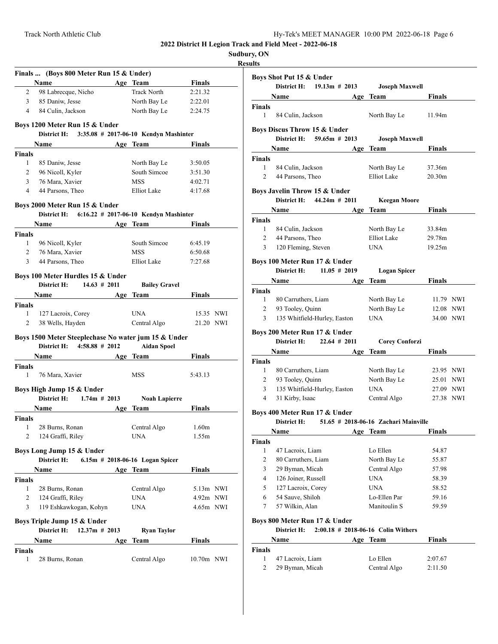**Sudbury, ON**

### **Resu**

|               | Finals  (Boys 800 Meter Run 15 & Under)                        |     |                                   |                   |  |
|---------------|----------------------------------------------------------------|-----|-----------------------------------|-------------------|--|
|               | Name                                                           |     | Age Team                          | <b>Finals</b>     |  |
| 2             | 98 Labrecque, Nicho                                            |     | <b>Track North</b>                | 2:21.32           |  |
| 3             | 85 Daniw, Jesse                                                |     | North Bay Le                      | 2:22.01           |  |
| 4             | 84 Culin, Jackson                                              |     | North Bay Le                      | 2:24.75           |  |
|               | Boys 1200 Meter Run 15 & Under                                 |     |                                   |                   |  |
|               | District H: 3:35.08 # 2017-06-10 Kendyn Mashinter              |     |                                   |                   |  |
|               | Name                                                           |     | Age Team                          | Finals            |  |
| <b>Finals</b> |                                                                |     |                                   |                   |  |
| 1             | 85 Daniw, Jesse                                                |     | North Bay Le                      | 3:50.05           |  |
| 2             | 96 Nicoll, Kyler                                               |     | South Simcoe                      | 3:51.30           |  |
| 3             | 76 Mara, Xavier                                                |     | <b>MSS</b>                        | 4:02.71           |  |
| 4             | 44 Parsons, Theo                                               |     | Elliot Lake                       | 4:17.68           |  |
|               | Boys 2000 Meter Run 15 & Under                                 |     |                                   |                   |  |
|               | District H: 6:16.22 # 2017-06-10 Kendyn Mashinter              |     |                                   |                   |  |
|               | Name                                                           |     | Age Team                          | Finals            |  |
| <b>Finals</b> |                                                                |     |                                   |                   |  |
| 1             | 96 Nicoll, Kyler                                               |     | South Simcoe                      | 6:45.19           |  |
| 2             | 76 Mara, Xavier                                                |     | <b>MSS</b>                        | 6:50.68           |  |
| 3             | 44 Parsons, Theo                                               |     | Elliot Lake                       | 7:27.68           |  |
|               | Boys 100 Meter Hurdles 15 & Under                              |     |                                   |                   |  |
|               | District H:<br>$14.63 \# 2011$                                 |     | <b>Bailey Gravel</b>              |                   |  |
|               | Name                                                           |     | Age Team                          | Finals            |  |
| Finals        |                                                                |     |                                   |                   |  |
| 1             | 127 Lacroix, Corey                                             |     | <b>UNA</b>                        | 15.35 NWI         |  |
| 2             | 38 Wells, Hayden                                               |     | Central Algo                      | 21.20 NWI         |  |
|               | Boys 1500 Meter Steeplechase No water jum 15 & Under           |     |                                   |                   |  |
|               | District H: $4:58.88 \# 2012$                                  |     | <b>Aidan Spoel</b>                |                   |  |
|               | Name                                                           |     | Age Team                          | Finals            |  |
| <b>Finals</b> |                                                                |     |                                   |                   |  |
| 1             | 76 Mara, Xavier                                                |     | <b>MSS</b>                        | 5:43.13           |  |
|               | Boys High Jump 15 & Under                                      |     |                                   |                   |  |
|               | District H:<br>$1.74m$ # 2013                                  |     | <b>Noah Lapierre</b>              |                   |  |
|               | <b>Name</b>                                                    | Age | <b>Team</b>                       | Finals            |  |
| Finals        |                                                                |     |                                   |                   |  |
| 1             | 28 Burns, Ronan                                                |     | Central Algo                      | 1.60 <sub>m</sub> |  |
| 2             | 124 Graffi, Riley                                              |     | UNA                               | 1.55m             |  |
|               |                                                                |     |                                   |                   |  |
|               | Boys Long Jump 15 & Under<br>District H:                       |     | $6.15m$ # 2018-06-16 Logan Spicer |                   |  |
|               | Name                                                           |     | Age Team                          | <b>Finals</b>     |  |
|               |                                                                |     |                                   |                   |  |
| Finals<br>1   | 28 Burns, Ronan                                                |     | Central Algo                      | 5.13m NWI         |  |
| 2             | 124 Graffi, Riley                                              |     | UNA                               | 4.92m NWI         |  |
| 3             | 119 Eshkawkogan, Kohyn                                         |     | UNA                               | 4.65m NWI         |  |
|               |                                                                |     |                                   |                   |  |
|               | Boys Triple Jump 15 & Under<br>District H:<br>$12.37m \# 2013$ |     | <b>Ryan Taylor</b>                |                   |  |
|               | Name                                                           |     |                                   |                   |  |
|               |                                                                | Age | Team                              | Finals            |  |
| Finals<br>1   | 28 Burns, Ronan                                                |     | Central Algo                      | 10.70m NWI        |  |
|               |                                                                |     |                                   |                   |  |

|                                | Boys Shot Put 15 & Under                                      |  |                                                  |                                     |
|--------------------------------|---------------------------------------------------------------|--|--------------------------------------------------|-------------------------------------|
|                                | District H: 19.13m # 2013                                     |  | <b>Joseph Maxwell</b>                            |                                     |
|                                | Name                                                          |  | Age Team                                         | Finals                              |
| <b>Finals</b>                  |                                                               |  |                                                  |                                     |
| 1                              | 84 Culin, Jackson                                             |  | North Bay Le                                     | 11.94m                              |
|                                | <b>Boys Discus Throw 15 &amp; Under</b>                       |  |                                                  |                                     |
|                                | District H: $59.65m \# 2013$                                  |  | <b>Joseph Maxwell</b>                            |                                     |
|                                | Name                                                          |  | Age Team                                         | Finals                              |
| <b>Finals</b>                  |                                                               |  |                                                  |                                     |
| $\mathbf{1}$                   | 84 Culin, Jackson                                             |  | North Bay Le                                     | 37.36m                              |
| 2                              | 44 Parsons, Theo                                              |  | Elliot Lake                                      | 20.30 <sub>m</sub>                  |
|                                |                                                               |  |                                                  |                                     |
|                                | Boys Javelin Throw 15 & Under<br>District H: $44.24m \# 2011$ |  |                                                  |                                     |
|                                |                                                               |  | Keegan Moore                                     |                                     |
|                                | <b>Name</b>                                                   |  | Age Team                                         | <b>Finals</b>                       |
| <b>Finals</b>                  | 1 84 Culin, Jackson                                           |  | North Bay Le                                     | 33.84m                              |
|                                | 2 44 Parsons, Theo                                            |  | Elliot Lake                                      | 29.78m                              |
| 3                              | 120 Fleming, Steven                                           |  | <b>UNA</b>                                       | 19.25m                              |
|                                |                                                               |  |                                                  |                                     |
|                                | Boys 100 Meter Run 17 & Under                                 |  |                                                  |                                     |
|                                | District H: 11.05 # 2019                                      |  | <b>Logan Spicer</b>                              |                                     |
|                                | Name                                                          |  | Age Team                                         | Finals                              |
| <b>Finals</b>                  |                                                               |  |                                                  |                                     |
|                                |                                                               |  |                                                  |                                     |
| $\mathbf{1}$                   | 80 Carruthers, Liam                                           |  | North Bay Le                                     |                                     |
| $\overline{2}$                 | 93 Tooley, Quinn                                              |  | North Bay Le                                     |                                     |
| 3                              | 135 Whitfield-Hurley, Easton                                  |  | <b>UNA</b>                                       | 11.79 NWI<br>12.08 NWI<br>34.00 NWI |
|                                | Boys 200 Meter Run 17 & Under                                 |  |                                                  |                                     |
|                                | District H: 22.64 # 2011                                      |  | <b>Corey Conforzi</b>                            |                                     |
|                                | <b>Name</b>                                                   |  | Age Team                                         | Finals                              |
|                                |                                                               |  |                                                  |                                     |
| 1                              | 80 Carruthers, Liam                                           |  | North Bay Le                                     | 23.95 NWI                           |
| 2                              | 93 Tooley, Quinn                                              |  | North Bay Le                                     |                                     |
| 3                              | 135 Whitfield-Hurley, Easton                                  |  | UNA                                              | 25.01 NWI<br>27.09 NWI              |
| $\overline{4}$                 | 31 Kirby, Isaac                                               |  | Central Algo                                     | 27.38 NWI                           |
|                                |                                                               |  |                                                  |                                     |
|                                | Boys 400 Meter Run 17 & Under<br>District H:                  |  |                                                  |                                     |
|                                |                                                               |  | 51.65 # 2018-06-16 Zachari Mainville             |                                     |
|                                | Name                                                          |  | Age Team                                         | <b>Finals</b>                       |
| 1                              | 47 Lacroix, Liam                                              |  | Lo Ellen                                         | 54.87                               |
| $\overline{c}$                 | 80 Carruthers, Liam                                           |  | North Bay Le                                     | 55.87                               |
| 3                              | 29 Byman, Micah                                               |  | Central Algo                                     | 57.98                               |
| 4                              | 126 Joiner, Russell                                           |  | <b>UNA</b>                                       | 58.39                               |
| 5                              | 127 Lacroix, Corey                                            |  | <b>UNA</b>                                       | 58.52                               |
| 6                              | 54 Sauve, Shiloh                                              |  | Lo-Ellen Par                                     | 59.16                               |
| 7                              | 57 Wilkin, Alan                                               |  | Manitoulin S                                     | 59.59                               |
|                                |                                                               |  |                                                  |                                     |
|                                | Boys 800 Meter Run 17 & Under                                 |  |                                                  |                                     |
| <b>Finals</b><br><b>Finals</b> | District H:<br>Name                                           |  | $2:00.18$ # 2018-06-16 Colin Withers<br>Age Team | Finals                              |

1 47 Lacroix, Liam Lo Ellen 2:07.67 2 29 Byman, Micah Central Algo 2:11.50